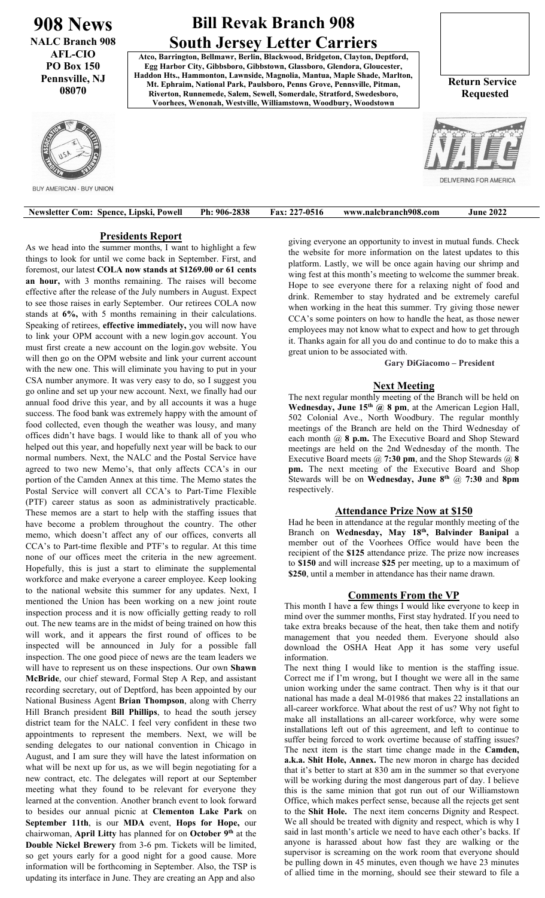**908 News NALC Branch 908 AFL-CIO PO Box 150 Pennsville, NJ 08070**

# **Bill Revak Branch 908 South Jersey Letter Carriers**

**Atco, Barrington, Bellmawr, Berlin, Blackwood, Bridgeton, Clayton, Deptford, Egg Harbor City, Gibbsboro, Gibbstown, Glassboro, Glendora, Gloucester, Haddon Hts., Hammonton, Lawnside, Magnolia, Mantua, Maple Shade, Marlton, Mt. Ephraim, National Park, Paulsboro, Penns Grove, Pennsville, Pitman, Riverton, Runnemede, Salem, Sewell, Somerdale, Stratford, Swedesboro, Voorhees, Wenonah, Westville, Williamstown, Woodbury, Woodstown**

 **Return Service Requested**

**DELIVERING FOR AMERIC** 



**BUY AMERICAN - BUY UNION** 

| <b>Newsletter Com: Spence, Lipski, Powell</b> | Ph: 906-2838 | <b>Fax: 227-0516</b> | www.nalcbranch908.com | <b>June 2022</b> |
|-----------------------------------------------|--------------|----------------------|-----------------------|------------------|
|                                               |              |                      |                       |                  |

## **Presidents Report**

As we head into the summer months, I want to highlight a few things to look for until we come back in September. First, and foremost, our latest **COLA now stands at \$1269.00 or 61 cents an hour,** with 3 months remaining. The raises will become effective after the release of the July numbers in August. Expect to see those raises in early September. Our retirees COLA now stands at **6%,** with 5 months remaining in their calculations. Speaking of retirees, **effective immediately,** you will now have to link your OPM account with a new login.gov account. You must first create a new account on the login.gov website. You will then go on the OPM website and link your current account with the new one. This will eliminate you having to put in your CSA number anymore. It was very easy to do, so I suggest you go online and set up your new account. Next, we finally had our annual food drive this year, and by all accounts it was a huge success. The food bank was extremely happy with the amount of food collected, even though the weather was lousy, and many offices didn't have bags. I would like to thank all of you who helped out this year, and hopefully next year will be back to our normal numbers. Next, the NALC and the Postal Service have agreed to two new Memo's, that only affects CCA's in our portion of the Camden Annex at this time. The Memo states the Postal Service will convert all CCA's to Part-Time Flexible (PTF) career status as soon as administratively practicable. These memos are a start to help with the staffing issues that have become a problem throughout the country. The other memo, which doesn't affect any of our offices, converts all CCA's to Part-time flexible and PTF's to regular. At this time none of our offices meet the criteria in the new agreement. Hopefully, this is just a start to eliminate the supplemental workforce and make everyone a career employee. Keep looking to the national website this summer for any updates. Next, I mentioned the Union has been working on a new joint route inspection process and it is now officially getting ready to roll out. The new teams are in the midst of being trained on how this will work, and it appears the first round of offices to be inspected will be announced in July for a possible fall inspection. The one good piece of news are the team leaders we will have to represent us on these inspections. Our own **Shawn McBride**, our chief steward, Formal Step A Rep, and assistant recording secretary, out of Deptford, has been appointed by our National Business Agent **Brian Thompson**, along with Cherry Hill Branch president **Bill Phillips**, to head the south jersey district team for the NALC. I feel very confident in these two appointments to represent the members. Next, we will be sending delegates to our national convention in Chicago in August, and I am sure they will have the latest information on what will be next up for us, as we will begin negotiating for a new contract, etc. The delegates will report at our September meeting what they found to be relevant for everyone they learned at the convention. Another branch event to look forward to besides our annual picnic at **Clementon Lake Park** on **September 11th**, is our **MDA** event, **Hops for Hope,** our chairwoman, **April Litty** has planned for on **October 9th** at the **Double Nickel Brewery** from 3-6 pm. Tickets will be limited, so get yours early for a good night for a good cause. More information will be forthcoming in September. Also, the TSP is updating its interface in June. They are creating an App and also

giving everyone an opportunity to invest in mutual funds. Check the website for more information on the latest updates to this platform. Lastly, we will be once again having our shrimp and wing fest at this month's meeting to welcome the summer break. Hope to see everyone there for a relaxing night of food and drink. Remember to stay hydrated and be extremely careful when working in the heat this summer. Try giving those newer CCA's some pointers on how to handle the heat, as those newer employees may not know what to expect and how to get through it. Thanks again for all you do and continue to do to make this a great union to be associated with.

**Gary DiGiacomo – President**

## **Next Meeting**

The next regular monthly meeting of the Branch will be held on **Wednesday, June 15th @ 8 pm**, at the American Legion Hall, 502 Colonial Ave., North Woodbury. The regular monthly meetings of the Branch are held on the Third Wednesday of each month @ **8 p.m.** The Executive Board and Shop Steward meetings are held on the 2nd Wednesday of the month. The Executive Board meets @ **7:30 pm**, and the Shop Stewards @ **8 pm.** The next meeting of the Executive Board and Shop Stewards will be on **Wednesday, June 8th** @ **7:30** and **8pm**  respectively.

## **Attendance Prize Now at \$150**

Had he been in attendance at the regular monthly meeting of the Branch on **Wednesday, May 18th, Balvinder Banipal** a member out of the Voorhees Office would have been the recipient of the **\$125** attendance prize. The prize now increases to **\$150** and will increase **\$25** per meeting, up to a maximum of **\$250**, until a member in attendance has their name drawn.

# **Comments From the VP**

This month I have a few things I would like everyone to keep in mind over the summer months, First stay hydrated. If you need to take extra breaks because of the heat, then take them and notify management that you needed them. Everyone should also download the OSHA Heat App it has some very useful information.

The next thing I would like to mention is the staffing issue. Correct me if I'm wrong, but I thought we were all in the same union working under the same contract. Then why is it that our national has made a deal M-01986 that makes 22 installations an all-career workforce. What about the rest of us? Why not fight to make all installations an all-career workforce, why were some installations left out of this agreement, and left to continue to suffer being forced to work overtime because of staffing issues? The next item is the start time change made in the **Camden, a.k.a. Shit Hole, Annex.** The new moron in charge has decided that it's better to start at 830 am in the summer so that everyone will be working during the most dangerous part of day. I believe this is the same minion that got run out of our Williamstown Office, which makes perfect sense, because all the rejects get sent to the **Shit Hole.** The next item concerns Dignity and Respect. We all should be treated with dignity and respect, which is why I said in last month's article we need to have each other's backs. If anyone is harassed about how fast they are walking or the supervisor is screaming on the work room that everyone should be pulling down in 45 minutes, even though we have 23 minutes of allied time in the morning, should see their steward to file a